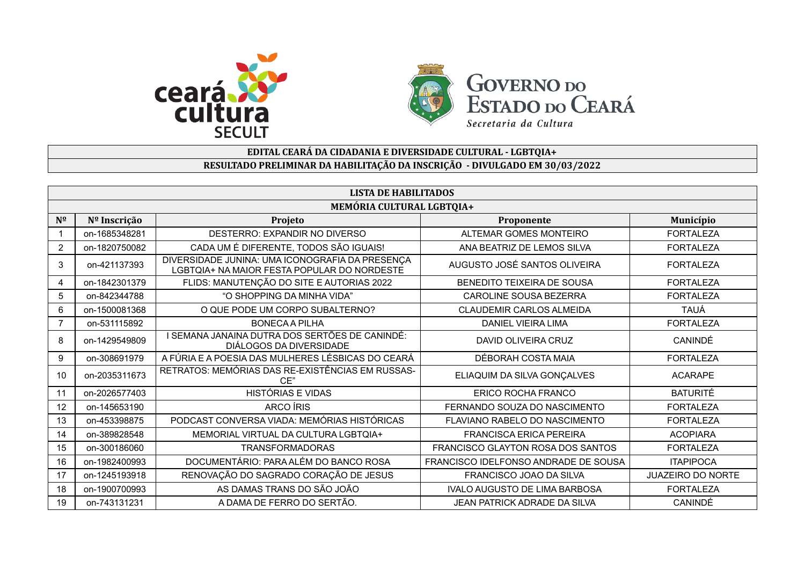



## **EDITAL CEARÁ DA CIDADANIA E DIVERSIDADE CULTURAL - LGBTQIA+ RESULTADO PRELIMINAR DA HABILITAÇÃO DA INSCRIÇÃO - DIVULGADO EM 30/03/2022**

|                | <b>LISTA DE HABILITADOS</b> |                                                                                                |                                      |                          |  |  |
|----------------|-----------------------------|------------------------------------------------------------------------------------------------|--------------------------------------|--------------------------|--|--|
|                | MEMÓRIA CULTURAL LGBTQIA+   |                                                                                                |                                      |                          |  |  |
| N <sup>2</sup> | Nº Inscrição                | Município                                                                                      |                                      |                          |  |  |
|                | on-1685348281               | DESTERRO: EXPANDIR NO DIVERSO<br>ALTEMAR GOMES MONTEIRO                                        |                                      | <b>FORTALEZA</b>         |  |  |
| $\overline{2}$ | on-1820750082               | CADA UM É DIFERENTE, TODOS SÃO IGUAIS!                                                         | ANA BEATRIZ DE LEMOS SILVA           | <b>FORTALEZA</b>         |  |  |
| 3              | on-421137393                | DIVERSIDADE JUNINA: UMA ICONOGRAFIA DA PRESENÇA<br>LGBTQIA+ NA MAIOR FESTA POPULAR DO NORDESTE | AUGUSTO JOSÉ SANTOS OLIVEIRA         | <b>FORTALEZA</b>         |  |  |
| 4              | on-1842301379               | FLIDS: MANUTENÇÃO DO SITE E AUTORIAS 2022                                                      | BENEDITO TEIXEIRA DE SOUSA           | <b>FORTALEZA</b>         |  |  |
| 5              | on-842344788                | "O SHOPPING DA MINHA VIDA"                                                                     | CAROLINE SOUSA BEZERRA               | <b>FORTALEZA</b>         |  |  |
| 6              | on-1500081368               | O QUE PODE UM CORPO SUBALTERNO?<br><b>CLAUDEMIR CARLOS ALMEIDA</b>                             |                                      | TAUÁ                     |  |  |
| $\overline{7}$ | on-531115892                | <b>BONECA A PILHA</b>                                                                          | <b>DANIEL VIEIRA LIMA</b>            |                          |  |  |
| 8              | on-1429549809               | I SEMANA JANAINA DUTRA DOS SERTÕES DE CANINDÉ:<br>DIÁLOGOS DA DIVERSIDADE                      | DAVID OLIVEIRA CRUZ                  | CANINDÉ                  |  |  |
| 9              | on-308691979                | A FÚRIA E A POESIA DAS MULHERES LÉSBICAS DO CEARÁ                                              | DÉBORAH COSTA MAIA                   | <b>FORTALEZA</b>         |  |  |
| 10             | on-2035311673               | RETRATOS: MEMÓRIAS DAS RE-EXISTÊNCIAS EM RUSSAS-<br>CE"                                        | ELIAQUIM DA SILVA GONÇALVES          | <b>ACARAPE</b>           |  |  |
| 11             | on-2026577403               | <b>HISTÓRIAS E VIDAS</b>                                                                       | ERICO ROCHA FRANCO                   | <b>BATURITÉ</b>          |  |  |
| 12             | on-145653190                | ARCO ÍRIS                                                                                      | FERNANDO SOUZA DO NASCIMENTO         | <b>FORTALEZA</b>         |  |  |
| 13             | on-453398875                | PODCAST CONVERSA VIADA: MEMÓRIAS HISTÓRICAS                                                    | FLAVIANO RABELO DO NASCIMENTO        | <b>FORTALEZA</b>         |  |  |
| 14             | on-389828548                | MEMORIAL VIRTUAL DA CULTURA LGBTQIA+                                                           | <b>FRANCISCA ERICA PEREIRA</b>       | <b>ACOPIARA</b>          |  |  |
| 15             | on-300186060                | <b>TRANSFORMADORAS</b>                                                                         | FRANCISCO GLAYTON ROSA DOS SANTOS    | <b>FORTALEZA</b>         |  |  |
| 16             | on-1982400993               | DOCUMENTÁRIO: PARA ALÉM DO BANCO ROSA                                                          | FRANCISCO IDELFONSO ANDRADE DE SOUSA | <b>ITAPIPOCA</b>         |  |  |
| 17             | on-1245193918               | RENOVAÇÃO DO SAGRADO CORAÇÃO DE JESUS                                                          | FRANCISCO JOAO DA SILVA              | <b>JUAZEIRO DO NORTE</b> |  |  |
| 18             | on-1900700993               | AS DAMAS TRANS DO SÃO JOÃO                                                                     | <b>IVALO AUGUSTO DE LIMA BARBOSA</b> | <b>FORTALEZA</b>         |  |  |
| 19             | on-743131231                | A DAMA DE FERRO DO SERTÃO.                                                                     | JEAN PATRICK ADRADE DA SILVA         | CANINDÉ                  |  |  |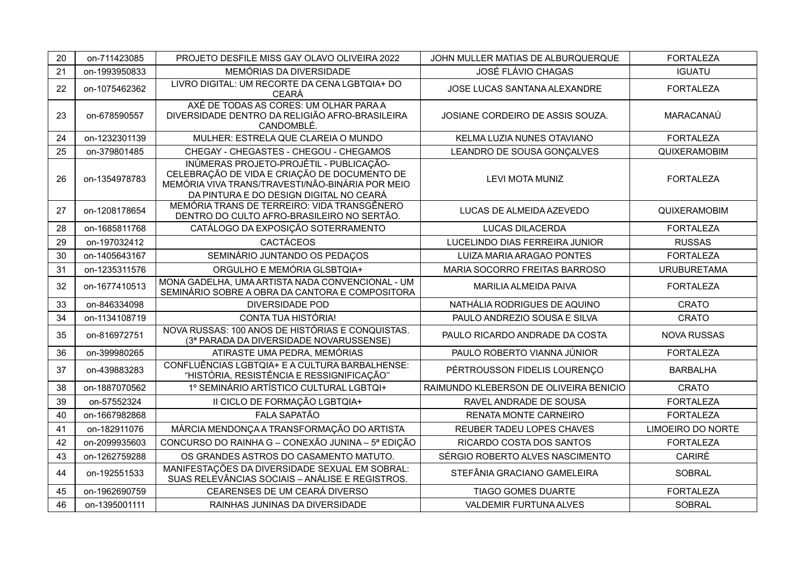| 20 | on-711423085                                                                                                                                                                                            | PROJETO DESFILE MISS GAY OLAVO OLIVEIRA 2022<br>JOHN MULLER MATIAS DE ALBURQUERQUE                |                                        | <b>FORTALEZA</b>         |
|----|---------------------------------------------------------------------------------------------------------------------------------------------------------------------------------------------------------|---------------------------------------------------------------------------------------------------|----------------------------------------|--------------------------|
| 21 | on-1993950833                                                                                                                                                                                           | MEMÓRIAS DA DIVERSIDADE                                                                           | <b>JOSÉ FLÁVIO CHAGAS</b>              | <b>IGUATU</b>            |
| 22 | on-1075462362                                                                                                                                                                                           | LIVRO DIGITAL: UM RECORTE DA CENA LGBTQIA+ DO<br><b>CEARÁ</b>                                     | JOSE LUCAS SANTANA ALEXANDRE           | <b>FORTALEZA</b>         |
| 23 | AXÉ DE TODAS AS CORES: UM OLHAR PARA A<br>DIVERSIDADE DENTRO DA RELIGIÃO AFRO-BRASILEIRA<br>on-678590557<br>CANDOMBLÉ.                                                                                  |                                                                                                   | JOSIANE CORDEIRO DE ASSIS SOUZA.       | MARACANAÚ                |
| 24 | on-1232301139                                                                                                                                                                                           | MULHER: ESTRELA QUE CLAREIA O MUNDO                                                               | KELMA LUZIA NUNES OTAVIANO             | <b>FORTALEZA</b>         |
| 25 | on-379801485                                                                                                                                                                                            | CHEGAY - CHEGASTES - CHEGOU - CHEGAMOS                                                            | LEANDRO DE SOUSA GONÇALVES             | QUIXERAMOBIM             |
| 26 | INÚMERAS PROJETO-PROJÉTIL - PUBLICAÇÃO-<br>CELEBRAÇÃO DE VIDA E CRIAÇÃO DE DOCUMENTO DE<br>on-1354978783<br>MEMÓRIA VIVA TRANS/TRAVESTI/NÃO-BINÁRIA POR MEIO<br>DA PINTURA E DO DESIGN DIGITAL NO CEARÁ |                                                                                                   | <b>LEVI MOTA MUNIZ</b>                 | <b>FORTALEZA</b>         |
| 27 | on-1208178654                                                                                                                                                                                           | MEMÓRIA TRANS DE TERREIRO: VIDA TRANSGÊNERO<br>DENTRO DO CULTO AFRO-BRASILEIRO NO SERTÃO.         | LUCAS DE ALMEIDA AZEVEDO               | <b>QUIXERAMOBIM</b>      |
| 28 | on-1685811768                                                                                                                                                                                           | CATÁLOGO DA EXPOSIÇÃO SOTERRAMENTO                                                                | <b>LUCAS DILACERDA</b>                 | <b>FORTALEZA</b>         |
| 29 | on-197032412                                                                                                                                                                                            | <b>CACTÁCEOS</b><br>LUCELINDO DIAS FERREIRA JUNIOR                                                |                                        | <b>RUSSAS</b>            |
| 30 | on-1405643167                                                                                                                                                                                           | SEMINÁRIO JUNTANDO OS PEDAÇOS<br>LUIZA MARIA ARAGAO PONTES                                        |                                        | <b>FORTALEZA</b>         |
| 31 | on-1235311576                                                                                                                                                                                           | ORGULHO E MEMÓRIA GLSBTQIA+<br>MARIA SOCORRO FREITAS BARROSO                                      |                                        | <b>URUBURETAMA</b>       |
| 32 | MONA GADELHA, UMA ARTISTA NADA CONVENCIONAL - UM<br>on-1677410513<br>SEMINÁRIO SOBRE A OBRA DA CANTORA E COMPOSITORA                                                                                    |                                                                                                   | MARILIA ALMEIDA PAIVA                  | <b>FORTALEZA</b>         |
| 33 | on-846334098                                                                                                                                                                                            | <b>DIVERSIDADE POD</b>                                                                            | NATHÁLIA RODRIGUES DE AQUINO           | <b>CRATO</b>             |
| 34 | on-1134108719                                                                                                                                                                                           | CONTA TUA HISTÓRIA!                                                                               | PAULO ANDREZIO SOUSA E SILVA           | CRATO                    |
| 35 | on-816972751                                                                                                                                                                                            | NOVA RUSSAS: 100 ANOS DE HISTÓRIAS E CONQUISTAS.<br>(3ª PARADA DA DIVERSIDADE NOVARUSSENSE)       | PAULO RICARDO ANDRADE DA COSTA         | <b>NOVA RUSSAS</b>       |
| 36 | on-399980265                                                                                                                                                                                            | ATIRASTE UMA PEDRA, MEMÓRIAS                                                                      | PAULO ROBERTO VIANNA JÚNIOR            | <b>FORTALEZA</b>         |
| 37 | on-439883283                                                                                                                                                                                            | CONFLUÊNCIAS LGBTQIA+ E A CULTURA BARBALHENSE:<br>"HISTÓRIA, RESISTÊNCIA E RESSIGNIFICAÇÃO"       | PÉRTROUSSON FIDELIS LOURENÇO           | <b>BARBALHA</b>          |
| 38 | on-1887070562                                                                                                                                                                                           | 1º SEMINÁRIO ARTÍSTICO CULTURAL LGBTQI+                                                           | RAIMUNDO KLEBERSON DE OLIVEIRA BENICIO | <b>CRATO</b>             |
| 39 | on-57552324                                                                                                                                                                                             | II CICLO DE FORMAÇÃO LGBTQIA+                                                                     | RAVEL ANDRADE DE SOUSA                 | <b>FORTALEZA</b>         |
| 40 | on-1667982868                                                                                                                                                                                           | FALA SAPATÃO                                                                                      | RENATA MONTE CARNEIRO                  | <b>FORTALEZA</b>         |
| 41 | on-182911076                                                                                                                                                                                            | MÁRCIA MENDONÇA A TRANSFORMAÇÃO DO ARTISTA                                                        | REUBER TADEU LOPES CHAVES              | <b>LIMOEIRO DO NORTE</b> |
| 42 | on-2099935603                                                                                                                                                                                           | CONCURSO DO RAINHA G - CONEXÃO JUNINA - 5ª EDIÇÃO                                                 | RICARDO COSTA DOS SANTOS               | <b>FORTALEZA</b>         |
| 43 | on-1262759288                                                                                                                                                                                           | OS GRANDES ASTROS DO CASAMENTO MATUTO.                                                            | SÉRGIO ROBERTO ALVES NASCIMENTO        | CARIRÉ                   |
| 44 | on-192551533                                                                                                                                                                                            | MANIFESTAÇÕES DA DIVERSIDADE SEXUAL EM SOBRAL:<br>SUAS RELEVÂNCIAS SOCIAIS - ANÁLISE E REGISTROS. | STEFÂNIA GRACIANO GAMELEIRA            | <b>SOBRAL</b>            |
| 45 | on-1962690759                                                                                                                                                                                           | CEARENSES DE UM CEARÁ DIVERSO                                                                     | <b>TIAGO GOMES DUARTE</b>              | <b>FORTALEZA</b>         |
| 46 | on-1395001111                                                                                                                                                                                           | RAINHAS JUNINAS DA DIVERSIDADE                                                                    | <b>VALDEMIR FURTUNA ALVES</b>          | <b>SOBRAL</b>            |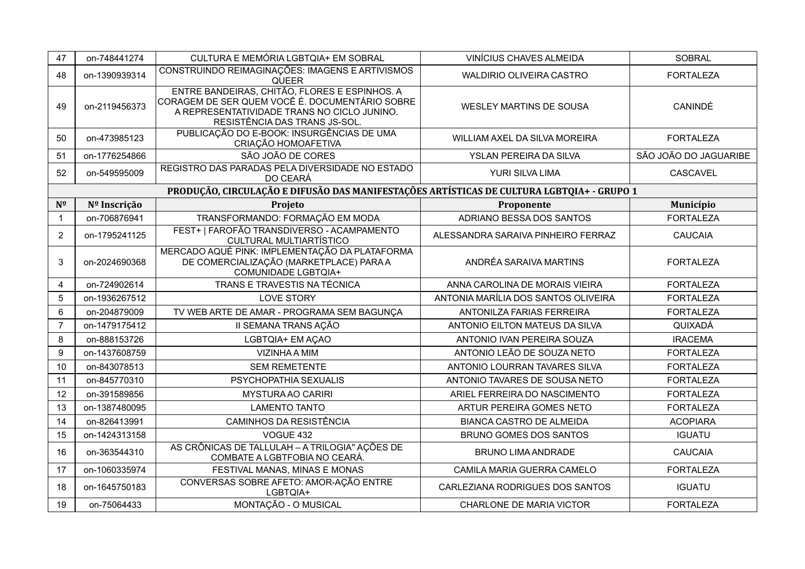| 47             | on-748441274  | CULTURA E MEMÓRIA LGBTQIA+ EM SOBRAL                                                                                                                                            | VINÍCIUS CHAVES ALMEIDA             | <b>SOBRAL</b>         |
|----------------|---------------|---------------------------------------------------------------------------------------------------------------------------------------------------------------------------------|-------------------------------------|-----------------------|
| 48             | on-1390939314 | CONSTRUINDO REIMAGINAÇÕES: IMAGENS E ARTIVISMOS<br>QUEER                                                                                                                        | <b>WALDIRIO OLIVEIRA CASTRO</b>     | <b>FORTALEZA</b>      |
| 49             | on-2119456373 | ENTRE BANDEIRAS, CHITÃO, FLORES E ESPINHOS. A<br>CORAGEM DE SER QUEM VOCÉ É. DOCUMENTÁRIO SOBRE<br>A REPRESENTATIVIDADE TRANS NO CICLO JUNINO.<br>RESISTÊNCIA DAS TRANS JS-SOL. | <b>WESLEY MARTINS DE SOUSA</b>      | CANINDÉ               |
| 50             | on-473985123  | PUBLICAÇÃO DO E-BOOK: INSURGÊNCIAS DE UMA<br>CRIAÇÃO HOMOAFETIVA                                                                                                                | WILLIAM AXEL DA SILVA MOREIRA       | <b>FORTALEZA</b>      |
| 51             | on-1776254866 | SÃO JOÃO DE CORES                                                                                                                                                               | YSLAN PEREIRA DA SILVA              | SÃO JOÃO DO JAGUARIBE |
| 52             | on-549595009  | REGISTRO DAS PARADAS PELA DIVERSIDADE NO ESTADO<br>DO CEARÁ                                                                                                                     | YURI SILVA LIMA                     | CASCAVEL              |
|                |               | PRODUÇÃO, CIRCULAÇÃO E DIFUSÃO DAS MANIFESTAÇÕES ARTÍSTICAS DE CULTURA LGBTQIA+ - GRUPO 1                                                                                       |                                     |                       |
| $N^{\Omega}$   | Nº Inscrição  | <b>Projeto</b>                                                                                                                                                                  | Proponente                          | Município             |
| $\mathbf 1$    | on-706876941  | TRANSFORMANDO: FORMAÇÃO EM MODA                                                                                                                                                 | ADRIANO BESSA DOS SANTOS            | <b>FORTALEZA</b>      |
| 2              | on-1795241125 | FEST+   FAROFÃO TRANSDIVERSO - ACAMPAMENTO<br>CULTURAL MULTIARTÍSTICO                                                                                                           | ALESSANDRA SARAIVA PINHEIRO FERRAZ  | <b>CAUCAIA</b>        |
| 3              | on-2024690368 | MERCADO AQUÉ PINK: IMPLEMENTAÇÃO DA PLATAFORMA<br>DE COMERCIALIZAÇÃO (MARKETPLACE) PARA A<br>COMUNIDADE LGBTQIA+                                                                | ANDRÉA SARAIVA MARTINS              | <b>FORTALEZA</b>      |
| 4              | on-724902614  | TRANS E TRAVESTIS NA TÉCNICA                                                                                                                                                    | ANNA CAROLINA DE MORAIS VIEIRA      | <b>FORTALEZA</b>      |
| 5              | on-1936267512 | <b>LOVE STORY</b>                                                                                                                                                               | ANTONIA MARÍLIA DOS SANTOS OLIVEIRA | <b>FORTALEZA</b>      |
| 6              | on-204879009  | TV WEB ARTE DE AMAR - PROGRAMA SEM BAGUNÇA                                                                                                                                      | ANTONILZA FARIAS FERREIRA           | <b>FORTALEZA</b>      |
| $\overline{7}$ | on-1479175412 | II SEMANA TRANS AÇÃO                                                                                                                                                            | ANTONIO EILTON MATEUS DA SILVA      | QUIXADÁ               |
| 8              | on-888153726  | LGBTQIA+ EM AÇAO                                                                                                                                                                | ANTONIO IVAN PEREIRA SOUZA          | <b>IRACEMA</b>        |
| 9              | on-1437608759 | <b>VIZINHA A MIM</b>                                                                                                                                                            | ANTONIO LEÃO DE SOUZA NETO          | <b>FORTALEZA</b>      |
| 10             | on-843078513  | <b>SEM REMETENTE</b>                                                                                                                                                            | ANTONIO LOURRAN TAVARES SILVA       | <b>FORTALEZA</b>      |
| 11             | on-845770310  | PSYCHOPATHIA SEXUALIS                                                                                                                                                           | ANTONIO TAVARES DE SOUSA NETO       | <b>FORTALEZA</b>      |
| 12             | on-391589856  | <b>MYSTURA AO CARIRI</b>                                                                                                                                                        | ARIEL FERREIRA DO NASCIMENTO        | <b>FORTALEZA</b>      |
| 13             | on-1387480095 | <b>LAMENTO TANTO</b>                                                                                                                                                            | ARTUR PEREIRA GOMES NETO            | <b>FORTALEZA</b>      |
| 14             | on-826413991  | CAMINHOS DA RESISTÊNCIA                                                                                                                                                         | <b>BIANCA CASTRO DE ALMEIDA</b>     | <b>ACOPIARA</b>       |
| 15             | on-1424313158 | VOGUE 432                                                                                                                                                                       | <b>BRUNO GOMES DOS SANTOS</b>       | <b>IGUATU</b>         |
| 16             | on-363544310  | AS CRÔNICAS DE TALLULAH - A TRILOGIA" AÇÕES DE<br>COMBATE A LGBTFOBIA NO CEARÁ.                                                                                                 | <b>BRUNO LIMA ANDRADE</b>           | <b>CAUCAIA</b>        |
| 17             | on-1060335974 | FESTIVAL MANAS, MINAS E MONAS                                                                                                                                                   | CAMILA MARIA GUERRA CAMELO          | <b>FORTALEZA</b>      |
| 18             | on-1645750183 | CONVERSAS SOBRE AFETO: AMOR-AÇÃO ENTRE<br>LGBTQIA+                                                                                                                              | CARLEZIANA RODRIGUES DOS SANTOS     | <b>IGUATU</b>         |
| 19             | on-75064433   | MONTAÇÃO - O MUSICAL                                                                                                                                                            | CHARLONE DE MARIA VICTOR            | <b>FORTALEZA</b>      |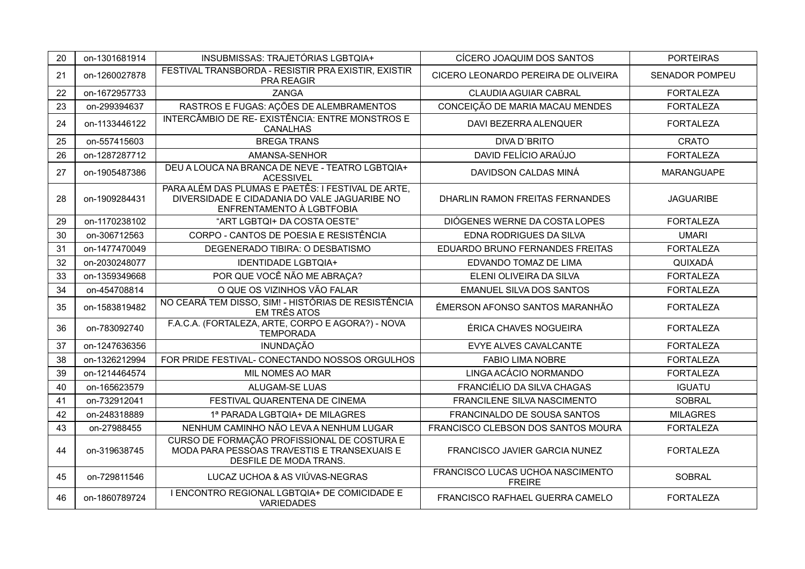| 20 | on-1301681914                                                                                                                                    | INSUBMISSAS: TRAJETÓRIAS LGBTQIA+                                          | CÍCERO JOAQUIM DOS SANTOS                         | <b>PORTEIRAS</b>      |  |
|----|--------------------------------------------------------------------------------------------------------------------------------------------------|----------------------------------------------------------------------------|---------------------------------------------------|-----------------------|--|
| 21 | on-1260027878                                                                                                                                    | FESTIVAL TRANSBORDA - RESISTIR PRA EXISTIR, EXISTIR<br>PRA REAGIR          | CICERO LEONARDO PEREIRA DE OLIVEIRA               | <b>SENADOR POMPEU</b> |  |
| 22 | on-1672957733                                                                                                                                    | <b>ZANGA</b>                                                               | <b>CLAUDIA AGUIAR CABRAL</b>                      | <b>FORTALEZA</b>      |  |
| 23 | on-299394637                                                                                                                                     | RASTROS E FUGAS: AÇÕES DE ALEMBRAMENTOS                                    | CONCEIÇÃO DE MARIA MACAU MENDES                   | <b>FORTALEZA</b>      |  |
| 24 | on-1133446122                                                                                                                                    | INTERCÂMBIO DE RE- EXISTÊNCIA: ENTRE MONSTROS E<br><b>CANALHAS</b>         | DAVI BEZERRA ALENQUER                             | <b>FORTALEZA</b>      |  |
| 25 | on-557415603                                                                                                                                     | <b>BREGA TRANS</b>                                                         | <b>DIVA D'BRITO</b>                               | <b>CRATO</b>          |  |
| 26 | on-1287287712                                                                                                                                    | AMANSA-SENHOR                                                              | DAVID FELÍCIO ARAÚJO                              | <b>FORTALEZA</b>      |  |
| 27 | on-1905487386                                                                                                                                    | DEU A LOUCA NA BRANCA DE NEVE - TEATRO LGBTQIA+<br><b>ACESSIVEL</b>        | DAVIDSON CALDAS MINÁ                              | <b>MARANGUAPE</b>     |  |
| 28 | PARA ALÉM DAS PLUMAS E PAETÊS: I FESTIVAL DE ARTE,<br>DIVERSIDADE E CIDADANIA DO VALE JAGUARIBE NO<br>on-1909284431<br>ENFRENTAMENTO À LGBTFOBIA |                                                                            | DHARLIN RAMON FREITAS FERNANDES                   | <b>JAGUARIBE</b>      |  |
| 29 | on-1170238102                                                                                                                                    | "ART LGBTQI+ DA COSTA OESTE"                                               | DIÓGENES WERNE DA COSTA LOPES                     | <b>FORTALEZA</b>      |  |
| 30 | on-306712563                                                                                                                                     | CORPO - CANTOS DE POESIA E RESISTÊNCIA<br>EDNA RODRIGUES DA SILVA          |                                                   | <b>UMARI</b>          |  |
| 31 | on-1477470049                                                                                                                                    | DEGENERADO TIBIRA: O DESBATISMO<br>EDUARDO BRUNO FERNANDES FREITAS         |                                                   | <b>FORTALEZA</b>      |  |
| 32 | on-2030248077                                                                                                                                    | <b>IDENTIDADE LGBTQIA+</b>                                                 | EDVANDO TOMAZ DE LIMA                             | QUIXADÁ               |  |
| 33 | on-1359349668                                                                                                                                    | POR QUE VOCÊ NÃO ME ABRAÇA?                                                | ELENI OLIVEIRA DA SILVA                           | <b>FORTALEZA</b>      |  |
| 34 | on-454708814                                                                                                                                     | O QUE OS VIZINHOS VÃO FALAR                                                | <b>EMANUEL SILVA DOS SANTOS</b>                   | <b>FORTALEZA</b>      |  |
| 35 | on-1583819482                                                                                                                                    | NO CEARÁ TEM DISSO, SIM! - HISTÓRIAS DE RESISTÊNCIA<br><b>EM TRÊS ATOS</b> | ÉMERSON AFONSO SANTOS MARANHÃO                    | <b>FORTALEZA</b>      |  |
| 36 | on-783092740                                                                                                                                     | F.A.C.A. (FORTALEZA, ARTE, CORPO E AGORA?) - NOVA<br><b>TEMPORADA</b>      | ÉRICA CHAVES NOGUEIRA                             | <b>FORTALEZA</b>      |  |
| 37 | on-1247636356                                                                                                                                    | <b>INUNDAÇÃO</b>                                                           | EVYE ALVES CAVALCANTE                             | <b>FORTALEZA</b>      |  |
| 38 | on-1326212994                                                                                                                                    | FOR PRIDE FESTIVAL- CONECTANDO NOSSOS ORGULHOS                             | <b>FABIO LIMA NOBRE</b>                           | <b>FORTALEZA</b>      |  |
| 39 | on-1214464574                                                                                                                                    | MIL NOMES AO MAR                                                           | LINGA ACÁCIO NORMANDO                             | <b>FORTALEZA</b>      |  |
| 40 | on-165623579                                                                                                                                     | ALUGAM-SE LUAS                                                             | FRANCIÉLIO DA SILVA CHAGAS                        | <b>IGUATU</b>         |  |
| 41 | on-732912041                                                                                                                                     | FESTIVAL QUARENTENA DE CINEMA                                              | FRANCILENE SILVA NASCIMENTO                       | <b>SOBRAL</b>         |  |
| 42 | on-248318889                                                                                                                                     | 1ª PARADA LGBTQIA+ DE MILAGRES                                             | FRANCINALDO DE SOUSA SANTOS                       | <b>MILAGRES</b>       |  |
| 43 | on-27988455                                                                                                                                      | NENHUM CAMINHO NÃO LEVA A NENHUM LUGAR                                     | FRANCISCO CLEBSON DOS SANTOS MOURA                | <b>FORTALEZA</b>      |  |
| 44 | CURSO DE FORMAÇÃO PROFISSIONAL DE COSTURA E<br>on-319638745<br>MODA PARA PESSOAS TRAVESTIS E TRANSEXUAIS E<br>DESFILE DE MODA TRANS.             |                                                                            | FRANCISCO JAVIER GARCIA NUNEZ                     | <b>FORTALEZA</b>      |  |
| 45 | on-729811546                                                                                                                                     | LUCAZ UCHOA & AS VIÚVAS-NEGRAS                                             | FRANCISCO LUCAS UCHOA NASCIMENTO<br><b>FREIRE</b> | <b>SOBRAL</b>         |  |
| 46 | on-1860789724                                                                                                                                    | I ENCONTRO REGIONAL LGBTQIA+ DE COMICIDADE E<br><b>VARIEDADES</b>          | FRANCISCO RAFHAEL GUERRA CAMELO                   | <b>FORTALEZA</b>      |  |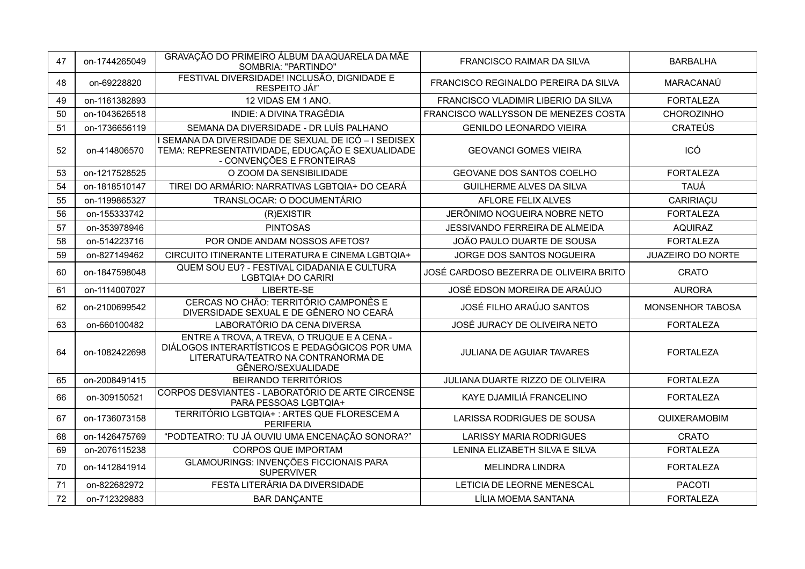| 47 | on-1744265049 | GRAVAÇÃO DO PRIMEIRO ÁLBUM DA AQUARELA DA MÃE<br>SOMBRIA: "PARTINDO"                                                                                                                           | FRANCISCO RAIMAR DA SILVA              | <b>BARBALHA</b>          |
|----|---------------|------------------------------------------------------------------------------------------------------------------------------------------------------------------------------------------------|----------------------------------------|--------------------------|
| 48 | on-69228820   | FESTIVAL DIVERSIDADE! INCLUSÃO, DIGNIDADE E<br>RESPEITO JÁ!"                                                                                                                                   | FRANCISCO REGINALDO PEREIRA DA SILVA   | MARACANAÚ                |
| 49 | on-1161382893 | 12 VIDAS EM 1 ANO.                                                                                                                                                                             | FRANCISCO VLADIMIR LIBERIO DA SILVA    | <b>FORTALEZA</b>         |
| 50 | on-1043626518 | INDIE: A DIVINA TRAGÉDIA                                                                                                                                                                       | FRANCISCO WALLYSSON DE MENEZES COSTA   | CHOROZINHO               |
| 51 | on-1736656119 | SEMANA DA DIVERSIDADE - DR LUÍS PALHANO                                                                                                                                                        | <b>GENILDO LEONARDO VIEIRA</b>         | <b>CRATEÚS</b>           |
| 52 | on-414806570  | I SEMANA DA DIVERSIDADE DE SEXUAL DE ICÓ – I SEDISEX<br>TEMA: REPRESENTATIVIDADE, EDUCAÇÃO E SEXUALIDADE<br>- CONVENÇÕES E FRONTEIRAS                                                          | <b>GEOVANCI GOMES VIEIRA</b>           | ICÓ                      |
| 53 | on-1217528525 | O ZOOM DA SENSIBILIDADE                                                                                                                                                                        | GEOVANE DOS SANTOS COELHO              | <b>FORTALEZA</b>         |
| 54 | on-1818510147 | TIREI DO ARMÁRIO: NARRATIVAS LGBTQIA+ DO CEARÁ                                                                                                                                                 | <b>GUILHERME ALVES DA SILVA</b>        | <b>TAUÁ</b>              |
| 55 | on-1199865327 | TRANSLOCAR: O DOCUMENTÁRIO                                                                                                                                                                     | <b>AFLORE FELIX ALVES</b>              | CARIRIAÇU                |
| 56 | on-155333742  | (R)EXISTIR                                                                                                                                                                                     | JERÔNIMO NOGUEIRA NOBRE NETO           | <b>FORTALEZA</b>         |
| 57 | on-353978946  | <b>PINTOSAS</b>                                                                                                                                                                                | JESSIVANDO FERREIRA DE ALMEIDA         | <b>AQUIRAZ</b>           |
| 58 | on-514223716  | POR ONDE ANDAM NOSSOS AFETOS?                                                                                                                                                                  | JOÃO PAULO DUARTE DE SOUSA             | <b>FORTALEZA</b>         |
| 59 | on-827149462  | CIRCUITO ITINERANTE LITERATURA E CINEMA LGBTQIA+                                                                                                                                               | JORGE DOS SANTOS NOGUEIRA              | <b>JUAZEIRO DO NORTE</b> |
| 60 | on-1847598048 | QUEM SOU EU? - FESTIVAL CIDADANIA E CULTURA<br>LGBTQIA+ DO CARIRI                                                                                                                              | JOSÉ CARDOSO BEZERRA DE OLIVEIRA BRITO | <b>CRATO</b>             |
| 61 | on-1114007027 | <b>LIBERTE-SE</b>                                                                                                                                                                              | JOSÉ EDSON MOREIRA DE ARAÚJO           | <b>AURORA</b>            |
| 62 | on-2100699542 | CERCAS NO CHÃO: TERRITÓRIO CAMPONÊS E<br>DIVERSIDADE SEXUAL E DE GÊNERO NO CEARÁ                                                                                                               | JOSÉ FILHO ARAÚJO SANTOS               | <b>MONSENHOR TABOSA</b>  |
| 63 | on-660100482  | LABORATÓRIO DA CENA DIVERSA                                                                                                                                                                    | JOSÉ JURACY DE OLIVEIRA NETO           | <b>FORTALEZA</b>         |
| 64 | on-1082422698 | ENTRE A TROVA, A TREVA, O TRUQUE E A CENA -<br>DIÁLOGOS INTERARTÍSTICOS E PEDAGÓGICOS POR UMA<br><b>JULIANA DE AGUIAR TAVARES</b><br>LITERATURA/TEATRO NA CONTRANORMA DE<br>GÊNERO/SEXUALIDADE |                                        | <b>FORTALEZA</b>         |
| 65 | on-2008491415 | <b>BEIRANDO TERRITÓRIOS</b>                                                                                                                                                                    | JULIANA DUARTE RIZZO DE OLIVEIRA       | <b>FORTALEZA</b>         |
| 66 | on-309150521  | CORPOS DESVIANTES - LABORATÓRIO DE ARTE CIRCENSE<br>PARA PESSOAS LGBTQIA+                                                                                                                      | KAYE DJAMILIÁ FRANCELINO               | <b>FORTALEZA</b>         |
| 67 | on-1736073158 | TERRITÓRIO LGBTQIA+: ARTES QUE FLORESCEM A<br><b>PERIFERIA</b>                                                                                                                                 | LARISSA RODRIGUES DE SOUSA             | <b>QUIXERAMOBIM</b>      |
| 68 | on-1426475769 | "PODTEATRO: TU JÁ OUVIU UMA ENCENAÇÃO SONORA?"                                                                                                                                                 | <b>LARISSY MARIA RODRIGUES</b>         | <b>CRATO</b>             |
| 69 | on-2076115238 | CORPOS QUE IMPORTAM                                                                                                                                                                            | LENINA ELIZABETH SILVA E SILVA         | <b>FORTALEZA</b>         |
| 70 | on-1412841914 | <b>GLAMOURINGS: INVENÇÕES FICCIONAIS PARA</b><br><b>SUPERVIVER</b>                                                                                                                             | <b>MELINDRA LINDRA</b>                 | <b>FORTALEZA</b>         |
| 71 | on-822682972  | FESTA LITERÁRIA DA DIVERSIDADE                                                                                                                                                                 | LETICIA DE LEORNE MENESCAL             | <b>PACOTI</b>            |
| 72 | on-712329883  | <b>BAR DANÇANTE</b>                                                                                                                                                                            | LÍLIA MOEMA SANTANA                    | <b>FORTALEZA</b>         |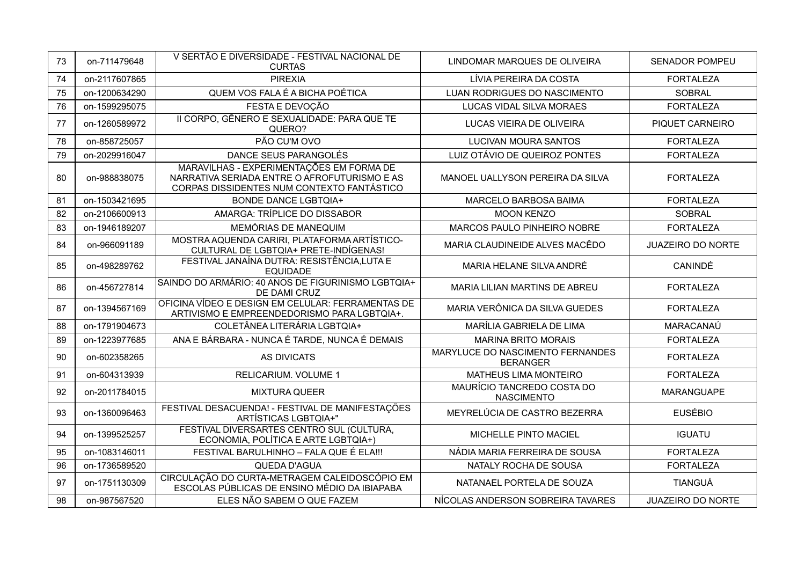| 73 | on-711479648  | V SERTÃO E DIVERSIDADE - FESTIVAL NACIONAL DE<br><b>CURTAS</b>                                                                                                             | LINDOMAR MARQUES DE OLIVEIRA                        | <b>SENADOR POMPEU</b>    |  |
|----|---------------|----------------------------------------------------------------------------------------------------------------------------------------------------------------------------|-----------------------------------------------------|--------------------------|--|
| 74 | on-2117607865 | <b>PIREXIA</b>                                                                                                                                                             | LÍVIA PEREIRA DA COSTA                              | <b>FORTALEZA</b>         |  |
| 75 | on-1200634290 | QUEM VOS FALA É A BICHA POÉTICA                                                                                                                                            | <b>LUAN RODRIGUES DO NASCIMENTO</b>                 | <b>SOBRAL</b>            |  |
| 76 | on-1599295075 | FESTA E DEVOÇÃO                                                                                                                                                            | LUCAS VIDAL SILVA MORAES                            | <b>FORTALEZA</b>         |  |
| 77 | on-1260589972 | II CORPO, GÊNERO E SEXUALIDADE: PARA QUE TE<br>QUERO?                                                                                                                      | LUCAS VIEIRA DE OLIVEIRA                            | PIQUET CARNEIRO          |  |
| 78 | on-858725057  | PÃO CU'M OVO                                                                                                                                                               | <b>LUCIVAN MOURA SANTOS</b>                         | <b>FORTALEZA</b>         |  |
| 79 | on-2029916047 | DANCE SEUS PARANGOLÉS                                                                                                                                                      | LUIZ OTÁVIO DE QUEIROZ PONTES                       | <b>FORTALEZA</b>         |  |
| 80 | on-988838075  | MARAVILHAS - EXPERIMENTAÇÕES EM FORMA DE<br>NARRATIVA SERIADA ENTRE O AFROFUTURISMO E AS<br>MANOEL UALLYSON PEREIRA DA SILVA<br>CORPAS DISSIDENTES NUM CONTEXTO FANTÁSTICO |                                                     | <b>FORTALEZA</b>         |  |
| 81 | on-1503421695 | <b>BONDE DANCE LGBTQIA+</b>                                                                                                                                                | MARCELO BARBOSA BAIMA                               | <b>FORTALEZA</b>         |  |
| 82 | on-2106600913 | AMARGA: TRÍPLICE DO DISSABOR                                                                                                                                               | <b>MOON KENZO</b>                                   | <b>SOBRAL</b>            |  |
| 83 | on-1946189207 | MEMÓRIAS DE MANEQUIM                                                                                                                                                       | MARCOS PAULO PINHEIRO NOBRE                         | <b>FORTALEZA</b>         |  |
| 84 | on-966091189  | MOSTRA AQUENDA CARIRI, PLATAFORMA ARTÍSTICO-<br>CULTURAL DE LGBTQIA+ PRETE-INDÍGENAS!                                                                                      | MARIA CLAUDINEIDE ALVES MACÊDO                      |                          |  |
| 85 | on-498289762  | FESTIVAL JANAÍNA DUTRA: RESISTÊNCIA, LUTA E<br><b>EQUIDADE</b>                                                                                                             | MARIA HELANE SILVA ANDRÉ                            | <b>CANINDÉ</b>           |  |
| 86 | on-456727814  | SAINDO DO ARMÁRIO: 40 ANOS DE FIGURINISMO LGBTQIA+<br>DE DAMI CRUZ                                                                                                         | MARIA LILIAN MARTINS DE ABREU                       | <b>FORTALEZA</b>         |  |
| 87 | on-1394567169 | OFICINA VÍDEO E DESIGN EM CELULAR: FERRAMENTAS DE<br>ARTIVISMO E EMPREENDEDORISMO PARA LGBTQIA+.                                                                           | MARIA VERÔNICA DA SILVA GUEDES                      |                          |  |
| 88 | on-1791904673 | COLETÂNEA LITERÁRIA LGBTQIA+                                                                                                                                               | MARÍLIA GABRIELA DE LIMA                            | MARACANAÚ                |  |
| 89 | on-1223977685 | ANA E BÁRBARA - NUNCA É TARDE, NUNCA É DEMAIS                                                                                                                              | <b>MARINA BRITO MORAIS</b>                          | <b>FORTALEZA</b>         |  |
| 90 | on-602358265  | <b>AS DIVICATS</b>                                                                                                                                                         | MARYLUCE DO NASCIMENTO FERNANDES<br><b>BERANGER</b> | <b>FORTALEZA</b>         |  |
| 91 | on-604313939  | RELICARIUM. VOLUME 1                                                                                                                                                       | MATHEUS LIMA MONTEIRO                               | <b>FORTALEZA</b>         |  |
| 92 | on-2011784015 | <b>MIXTURA QUEER</b>                                                                                                                                                       | MAURÍCIO TANCREDO COSTA DO<br><b>NASCIMENTO</b>     | <b>MARANGUAPE</b>        |  |
| 93 | on-1360096463 | FESTIVAL DESACUENDA! - FESTIVAL DE MANIFESTAÇÕES<br>ARTÍSTICAS LGBTQIA+"                                                                                                   | MEYRELÚCIA DE CASTRO BEZERRA                        | <b>EUSÉBIO</b>           |  |
| 94 | on-1399525257 | FESTIVAL DIVERSARTES CENTRO SUL (CULTURA,<br>ECONOMIA, POLÍTICA E ARTE LGBTQIA+)                                                                                           | MICHELLE PINTO MACIEL                               | <b>IGUATU</b>            |  |
| 95 | on-1083146011 | FESTIVAL BARULHINHO - FALA QUE É ELA !!!                                                                                                                                   | NÁDIA MARIA FERREIRA DE SOUSA                       | <b>FORTALEZA</b>         |  |
| 96 | on-1736589520 | QUEDA D'AGUA                                                                                                                                                               | NATALY ROCHA DE SOUSA                               | <b>FORTALEZA</b>         |  |
| 97 | on-1751130309 | CIRCULAÇÃO DO CURTA-METRAGEM CALEIDOSCÓPIO EM<br>ESCOLAS PÚBLICAS DE ENSINO MÉDIO DA IBIAPABA                                                                              | NATANAEL PORTELA DE SOUZA                           | <b>TIANGUÁ</b>           |  |
| 98 | on-987567520  | ELES NÃO SABEM O QUE FAZEM                                                                                                                                                 | NÍCOLAS ANDERSON SOBREIRA TAVARES                   | <b>JUAZEIRO DO NORTE</b> |  |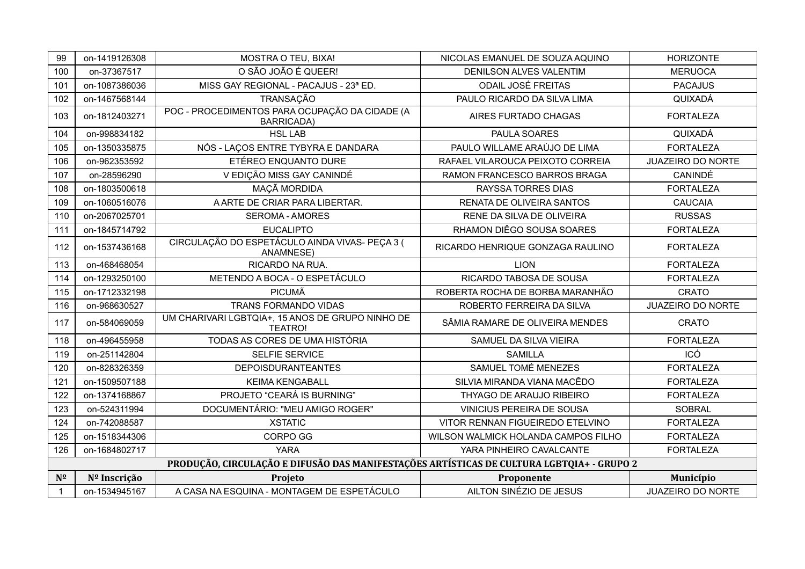| 99             | on-1419126308 | <b>MOSTRA O TEU, BIXA!</b>                                                                | NICOLAS EMANUEL DE SOUZA AQUINO     | <b>HORIZONTE</b>                                     |  |
|----------------|---------------|-------------------------------------------------------------------------------------------|-------------------------------------|------------------------------------------------------|--|
| 100            | on-37367517   | O SÃO JOÃO É QUEER!                                                                       | DENILSON ALVES VALENTIM             | <b>MERUOCA</b>                                       |  |
| 101            | on-1087386036 | MISS GAY REGIONAL - PACAJUS - 23ª ED.                                                     | ODAIL JOSÉ FREITAS                  | <b>PACAJUS</b>                                       |  |
| 102            | on-1467568144 | TRANSAÇÃO                                                                                 | PAULO RICARDO DA SILVA LIMA         | QUIXADÁ                                              |  |
| 103            | on-1812403271 | POC - PROCEDIMENTOS PARA OCUPAÇÃO DA CIDADE (A<br><b>BARRICADA)</b>                       | AIRES FURTADO CHAGAS                | <b>FORTALEZA</b>                                     |  |
| 104            | on-998834182  | <b>HSL LAB</b>                                                                            | PAULA SOARES                        | QUIXADÁ                                              |  |
| 105            | on-1350335875 | NÓS - LAÇOS ENTRE TYBYRA E DANDARA                                                        | PAULO WILLAME ARAÚJO DE LIMA        | <b>FORTALEZA</b>                                     |  |
| 106            | on-962353592  | ETÉREO ENQUANTO DURE                                                                      | RAFAEL VILAROUCA PEIXOTO CORREIA    | <b>JUAZEIRO DO NORTE</b>                             |  |
| 107            | on-28596290   | V EDIÇÃO MISS GAY CANINDÉ                                                                 | RAMON FRANCESCO BARROS BRAGA        | CANINDÉ                                              |  |
| 108            | on-1803500618 | MAÇÃ MORDIDA                                                                              | <b>RAYSSA TORRES DIAS</b>           | <b>FORTALEZA</b>                                     |  |
| 109            | on-1060516076 | A ARTE DE CRIAR PARA LIBERTAR.                                                            | RENATA DE OLIVEIRA SANTOS           | <b>CAUCAIA</b>                                       |  |
| 110            | on-2067025701 | <b>SEROMA - AMORES</b><br>RENE DA SILVA DE OLIVEIRA                                       |                                     | <b>RUSSAS</b>                                        |  |
| 111            | on-1845714792 | <b>EUCALIPTO</b><br>RHAMON DIÊGO SOUSA SOARES                                             |                                     | <b>FORTALEZA</b>                                     |  |
| 112            | on-1537436168 | CIRCULAÇÃO DO ESPETÁCULO AINDA VIVAS- PEÇA 3 (<br>ANAMNESE)                               |                                     | RICARDO HENRIQUE GONZAGA RAULINO<br><b>FORTALEZA</b> |  |
| 113            | on-468468054  | RICARDO NA RUA.<br><b>LION</b>                                                            |                                     | <b>FORTALEZA</b>                                     |  |
| 114            | on-1293250100 | METENDO A BOCA - O ESPETÁCULO<br>RICARDO TABOSA DE SOUSA                                  |                                     | <b>FORTALEZA</b>                                     |  |
| 115            | on-1712332198 | PICUMÃ<br>ROBERTA ROCHA DE BORBA MARANHÃO                                                 |                                     | <b>CRATO</b>                                         |  |
| 116            | on-968630527  | <b>TRANS FORMANDO VIDAS</b>                                                               | ROBERTO FERREIRA DA SILVA           | <b>JUAZEIRO DO NORTE</b>                             |  |
| 117            | on-584069059  | UM CHARIVARI LGBTQIA+, 15 ANOS DE GRUPO NINHO DE<br><b>TEATRO!</b>                        | SÂMIA RAMARE DE OLIVEIRA MENDES     | CRATO                                                |  |
| 118            | on-496455958  | TODAS AS CORES DE UMA HISTÓRIA                                                            | SAMUEL DA SILVA VIEIRA              | <b>FORTALEZA</b>                                     |  |
| 119            | on-251142804  | SELFIE SERVICE                                                                            | <b>SAMILLA</b>                      | ICÓ                                                  |  |
| 120            | on-828326359  | <b>DEPOISDURANTEANTES</b>                                                                 | SAMUEL TOMÉ MENEZES                 | <b>FORTALEZA</b>                                     |  |
| 121            | on-1509507188 | <b>KEIMA KENGABALL</b>                                                                    | SILVIA MIRANDA VIANA MACÊDO         | <b>FORTALEZA</b>                                     |  |
| 122            | on-1374168867 | PROJETO "CEARÁ IS BURNING"                                                                | THYAGO DE ARAUJO RIBEIRO            | <b>FORTALEZA</b>                                     |  |
| 123            | on-524311994  | DOCUMENTÁRIO: "MEU AMIGO ROGER"                                                           | VINICIUS PEREIRA DE SOUSA           | <b>SOBRAL</b>                                        |  |
| 124            | on-742088587  | <b>XSTATIC</b>                                                                            | VITOR RENNAN FIGUEIREDO ETELVINO    | <b>FORTALEZA</b>                                     |  |
| 125            | on-1518344306 | CORPO GG                                                                                  | WILSON WALMICK HOLANDA CAMPOS FILHO | <b>FORTALEZA</b>                                     |  |
| 126            | on-1684802717 | <b>YARA</b>                                                                               | YARA PINHEIRO CAVALCANTE            | <b>FORTALEZA</b>                                     |  |
|                |               | PRODUÇÃO, CIRCULAÇÃO E DIFUSÃO DAS MANIFESTAÇÕES ARTÍSTICAS DE CULTURA LGBTQIA+ - GRUPO 2 |                                     |                                                      |  |
| $N^{\Omega}$   | Nº Inscrição  | Projeto                                                                                   | Proponente                          | Município                                            |  |
| $\overline{1}$ | on-1534945167 | A CASA NA ESQUINA - MONTAGEM DE ESPETÁCULO                                                | AILTON SINÉZIO DE JESUS             | <b>JUAZEIRO DO NORTE</b>                             |  |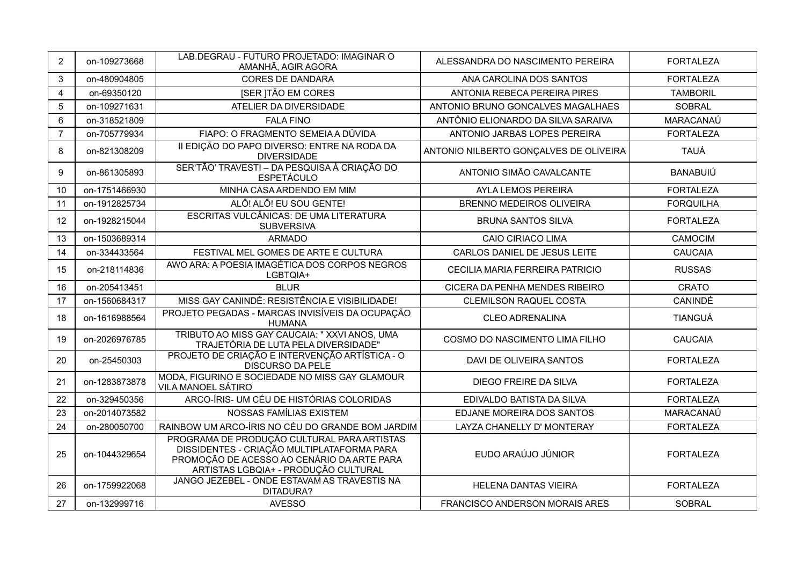| 2                       | LAB.DEGRAU - FUTURO PROJETADO: IMAGINAR O<br>on-109273668<br>AMANHÃ, AGIR AGORA |                                                                                                                                                                                 | ALESSANDRA DO NASCIMENTO PEREIRA       | <b>FORTALEZA</b> |
|-------------------------|---------------------------------------------------------------------------------|---------------------------------------------------------------------------------------------------------------------------------------------------------------------------------|----------------------------------------|------------------|
| 3                       | on-480904805                                                                    | <b>CORES DE DANDARA</b>                                                                                                                                                         | ANA CAROLINA DOS SANTOS                | <b>FORTALEZA</b> |
| $\overline{\mathbf{4}}$ | on-69350120                                                                     | <b>ISER ITÃO EM CORES</b>                                                                                                                                                       | ANTONIA REBECA PEREIRA PIRES           | <b>TAMBORIL</b>  |
| 5                       | on-109271631                                                                    | ATELIER DA DIVERSIDADE                                                                                                                                                          | ANTONIO BRUNO GONCALVES MAGALHAES      | <b>SOBRAL</b>    |
| $6\phantom{1}6$         | on-318521809<br><b>FALA FINO</b>                                                |                                                                                                                                                                                 | ANTÔNIO ELIONARDO DA SILVA SARAIVA     | MARACANAÚ        |
| $\overline{7}$          | on-705779934                                                                    | FIAPO: O FRAGMENTO SEMEIA A DÚVIDA                                                                                                                                              | ANTONIO JARBAS LOPES PEREIRA           | <b>FORTALEZA</b> |
| 8                       | on-821308209                                                                    | II EDIÇÃO DO PAPO DIVERSO: ENTRE NA RODA DA<br><b>DIVERSIDADE</b>                                                                                                               | ANTONIO NILBERTO GONÇALVES DE OLIVEIRA | <b>TAUÁ</b>      |
| 9                       | on-861305893                                                                    | SER'TÃO' TRAVESTI - DA PESQUISA À CRIAÇÃO DO<br><b>ESPETÁCULO</b>                                                                                                               | ANTONIO SIMÃO CAVALCANTE               | BANABUIÚ         |
| 10                      | on-1751466930                                                                   | MINHA CASA ARDENDO EM MIM                                                                                                                                                       | <b>AYLA LEMOS PEREIRA</b>              | <b>FORTALEZA</b> |
| 11                      | on-1912825734                                                                   | ALÔ! ALÔ! EU SOU GENTE!                                                                                                                                                         | <b>BRENNO MEDEIROS OLIVEIRA</b>        | <b>FORQUILHA</b> |
| 12                      | on-1928215044                                                                   | <b>ESCRITAS VULCÂNICAS: DE UMA LITERATURA</b><br><b>SUBVERSIVA</b>                                                                                                              | <b>BRUNA SANTOS SILVA</b>              | <b>FORTALEZA</b> |
| 13                      | on-1503689314                                                                   | <b>ARMADO</b>                                                                                                                                                                   | <b>CAIO CIRIACO LIMA</b>               | CAMOCIM          |
| 14                      | on-334433564                                                                    | FESTIVAL MEL GOMES DE ARTE E CULTURA<br>CARLOS DANIEL DE JESUS LEITE                                                                                                            |                                        | <b>CAUCAIA</b>   |
| 15                      | on-218114836                                                                    | AWO ARA: A POESIA IMAGÉTICA DOS CORPOS NEGROS<br>LGBTQIA+                                                                                                                       | CECILIA MARIA FERREIRA PATRICIO        |                  |
| 16                      | on-205413451                                                                    | <b>BLUR</b>                                                                                                                                                                     | CICERA DA PENHA MENDES RIBEIRO         | <b>CRATO</b>     |
| 17                      | on-1560684317                                                                   | MISS GAY CANINDÉ: RESISTÊNCIA E VISIBILIDADE!                                                                                                                                   | <b>CLEMILSON RAQUEL COSTA</b>          | CANINDÉ          |
| 18                      | on-1616988564                                                                   | PROJETO PEGADAS - MARCAS INVISÍVEIS DA OCUPAÇÃO<br><b>HUMANA</b>                                                                                                                | <b>CLEO ADRENALINA</b>                 | <b>TIANGUÁ</b>   |
| 19                      | on-2026976785                                                                   | TRIBUTO AO MISS GAY CAUCAIA: " XXVI ANOS, UMA<br>TRAJETÓRIA DE LUTA PELA DIVERSIDADE"                                                                                           | COSMO DO NASCIMENTO LIMA FILHO         | <b>CAUCAIA</b>   |
| 20                      | on-25450303                                                                     | PROJETO DE CRIAÇÃO E INTERVENÇÃO ARTÍSTICA - O<br><b>DISCURSO DA PELE</b>                                                                                                       | DAVI DE OLIVEIRA SANTOS                | <b>FORTALEZA</b> |
| 21                      | on-1283873878                                                                   | MODA, FIGURINO E SOCIEDADE NO MISS GAY GLAMOUR<br>VILA MANOEL SÁTIRO                                                                                                            | DIEGO FREIRE DA SILVA                  | <b>FORTALEZA</b> |
| 22                      | on-329450356                                                                    | ARCO-ÍRIS- UM CÉU DE HISTÓRIAS COLORIDAS                                                                                                                                        | EDIVALDO BATISTA DA SILVA              | <b>FORTALEZA</b> |
| 23                      | on-2014073582                                                                   | NOSSAS FAMÍLIAS EXISTEM                                                                                                                                                         | EDJANE MOREIRA DOS SANTOS              | MARACANAÚ        |
| 24                      | on-280050700                                                                    | RAINBOW UM ARCO-ÍRIS NO CÉU DO GRANDE BOM JARDIM                                                                                                                                | LAYZA CHANELLY D' MONTERAY             | <b>FORTALEZA</b> |
| 25                      | on-1044329654                                                                   | PROGRAMA DE PRODUÇÃO CULTURAL PARA ARTISTAS<br>DISSIDENTES - CRIAÇÃO MULTIPLATAFORMA PARA<br>PROMOÇÃO DE ACESSO AO CENÁRIO DA ARTE PARA<br>ARTISTAS LGBQIA+ - PRODUÇÃO CULTURAL | EUDO ARAÚJO JÚNIOR                     | <b>FORTALEZA</b> |
| 26                      | on-1759922068                                                                   | JANGO JEZEBEL - ONDE ESTAVAM AS TRAVESTIS NA<br>DITADURA?                                                                                                                       | <b>HELENA DANTAS VIEIRA</b>            | <b>FORTALEZA</b> |
|                         |                                                                                 | <b>AVESSO</b>                                                                                                                                                                   |                                        |                  |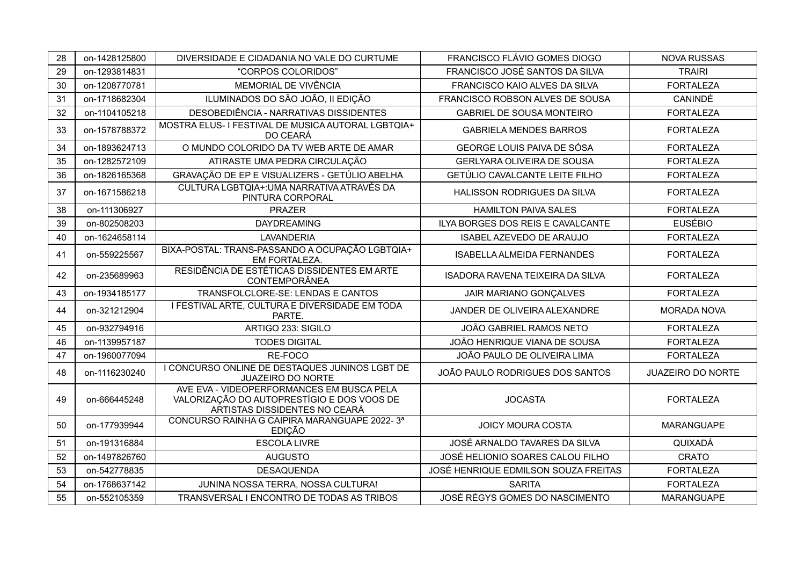| 28 | on-1428125800                                                                    | DIVERSIDADE E CIDADANIA NO VALE DO CURTUME                                                                               | FRANCISCO FLÁVIO GOMES DIOGO                        | <b>NOVA RUSSAS</b> |  |
|----|----------------------------------------------------------------------------------|--------------------------------------------------------------------------------------------------------------------------|-----------------------------------------------------|--------------------|--|
| 29 | on-1293814831                                                                    | "CORPOS COLORIDOS"                                                                                                       | FRANCISCO JOSÉ SANTOS DA SILVA                      | <b>TRAIRI</b>      |  |
| 30 | on-1208770781                                                                    | MEMORIAL DE VIVÊNCIA                                                                                                     | FRANCISCO KAIO ALVES DA SILVA                       | <b>FORTALEZA</b>   |  |
| 31 | on-1718682304                                                                    | ILUMINADOS DO SÃO JOÃO, II EDIÇÃO                                                                                        | FRANCISCO ROBSON ALVES DE SOUSA                     | CANINDÉ            |  |
| 32 | on-1104105218                                                                    | DESOBEDIÊNCIA - NARRATIVAS DISSIDENTES                                                                                   | <b>GABRIEL DE SOUSA MONTEIRO</b>                    | <b>FORTALEZA</b>   |  |
| 33 | MOSTRA ELUS- I FESTIVAL DE MUSICA AUTORAL LGBTQIA+<br>on-1578788372<br>DO CEARÁ  |                                                                                                                          | <b>GABRIELA MENDES BARROS</b>                       | <b>FORTALEZA</b>   |  |
| 34 | O MUNDO COLORIDO DA TV WEB ARTE DE AMAR<br>on-1893624713                         |                                                                                                                          | GEORGE LOUIS PAIVA DE SÓSA                          | <b>FORTALEZA</b>   |  |
| 35 | on-1282572109                                                                    | ATIRASTE UMA PEDRA CIRCULAÇÃO                                                                                            | GERLYARA OLIVEIRA DE SOUSA                          | <b>FORTALEZA</b>   |  |
| 36 | on-1826165368                                                                    | GRAVAÇÃO DE EP E VISUALIZERS - GETÚLIO ABELHA                                                                            | GETÚLIO CAVALCANTE LEITE FILHO                      | <b>FORTALEZA</b>   |  |
| 37 | on-1671586218                                                                    | CULTURA LGBTQIA+: UMA NARRATIVA ATRAVÉS DA<br>PINTURA CORPORAL                                                           | HALISSON RODRIGUES DA SILVA                         | <b>FORTALEZA</b>   |  |
| 38 | on-111306927                                                                     | <b>PRAZER</b>                                                                                                            | <b>HAMILTON PAIVA SALES</b>                         | <b>FORTALEZA</b>   |  |
| 39 | on-802508203                                                                     | <b>DAYDREAMING</b>                                                                                                       | ILYA BORGES DOS REIS E CAVALCANTE                   | <b>EUSÉBIO</b>     |  |
| 40 | on-1624658114                                                                    | <b>LAVANDERIA</b><br>ISABEL AZEVEDO DE ARAUJO                                                                            |                                                     | <b>FORTALEZA</b>   |  |
| 41 | BIXA-POSTAL: TRANS-PASSANDO A OCUPAÇÃO LGBTQIA+<br>on-559225567<br>EM FORTALEZA. |                                                                                                                          | ISABELLA ALMEIDA FERNANDES                          | <b>FORTALEZA</b>   |  |
| 42 | on-235689963                                                                     | RESIDÊNCIA DE ESTÉTICAS DISSIDENTES EM ARTE<br><b>CONTEMPORÂNEA</b>                                                      | <b>ISADORA RAVENA TEIXEIRA DA SILVA</b>             |                    |  |
| 43 | on-1934185177                                                                    | TRANSFOLCLORE-SE: LENDAS E CANTOS<br>JAIR MARIANO GONÇALVES                                                              |                                                     | <b>FORTALEZA</b>   |  |
| 44 | on-321212904                                                                     | I FESTIVAL ARTE, CULTURA E DIVERSIDADE EM TODA<br>PARTE.                                                                 | JANDER DE OLIVEIRA ALEXANDRE                        | <b>MORADA NOVA</b> |  |
| 45 | on-932794916                                                                     | ARTIGO 233: SIGILO                                                                                                       | JOÃO GABRIEL RAMOS NETO                             | <b>FORTALEZA</b>   |  |
| 46 | on-1139957187                                                                    | <b>TODES DIGITAL</b>                                                                                                     | JOÃO HENRIQUE VIANA DE SOUSA                        | <b>FORTALEZA</b>   |  |
| 47 | on-1960077094                                                                    | RE-FOCO                                                                                                                  | JOÃO PAULO DE OLIVEIRA LIMA                         | <b>FORTALEZA</b>   |  |
| 48 | on-1116230240                                                                    | I CONCURSO ONLINE DE DESTAQUES JUNINOS LGBT DE<br><b>JUAZEIRO DO NORTE</b>                                               | JOÃO PAULO RODRIGUES DOS SANTOS                     | JUAZEIRO DO NORTE  |  |
| 49 | on-666445248                                                                     | AVE EVA - VIDEOPERFORMANCES EM BUSCA PELA<br>VALORIZAÇÃO DO AUTOPRESTÍGIO E DOS VOOS DE<br>ARTISTAS DISSIDENTES NO CEARÁ | <b>JOCASTA</b>                                      | <b>FORTALEZA</b>   |  |
| 50 | on-177939944                                                                     | CONCURSO RAINHA G CAIPIRA MARANGUAPE 2022-3 <sup>a</sup><br><b>EDIÇÃO</b>                                                | <b>JOICY MOURA COSTA</b>                            | <b>MARANGUAPE</b>  |  |
| 51 | on-191316884                                                                     | <b>ESCOLA LIVRE</b>                                                                                                      | JOSÉ ARNALDO TAVARES DA SILVA                       | QUIXADÁ            |  |
| 52 | on-1497826760                                                                    | <b>AUGUSTO</b>                                                                                                           | JOSÉ HELIONIO SOARES CALOU FILHO                    | <b>CRATO</b>       |  |
| 53 | on-542778835                                                                     | <b>DESAQUENDA</b>                                                                                                        | JOSÉ HENRIQUE EDMILSON SOUZA FREITAS                | <b>FORTALEZA</b>   |  |
| 54 | on-1768637142                                                                    | JUNINA NOSSA TERRA, NOSSA CULTURA!                                                                                       | <b>SARITA</b>                                       | <b>FORTALEZA</b>   |  |
| 55 | on-552105359                                                                     | TRANSVERSAL I ENCONTRO DE TODAS AS TRIBOS                                                                                | JOSÉ RÉGYS GOMES DO NASCIMENTO<br><b>MARANGUAPE</b> |                    |  |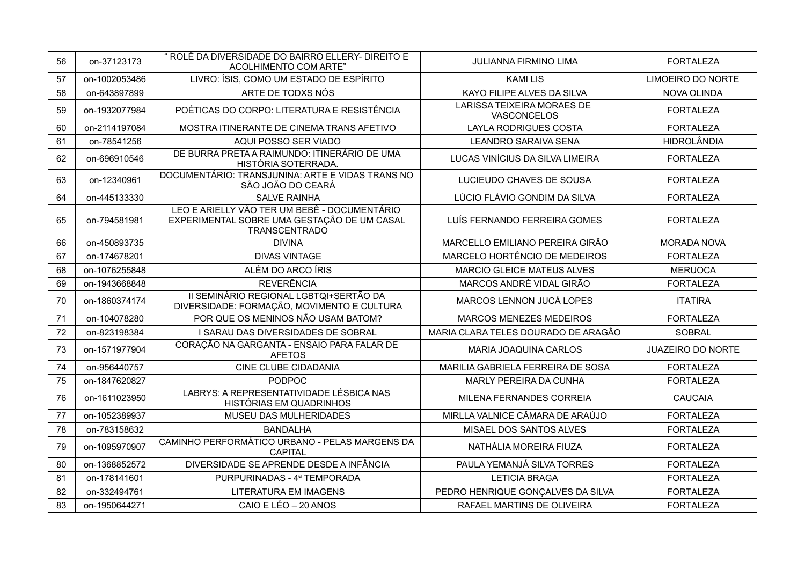| 56 | on-37123173                                                  | " ROLÊ DA DIVERSIDADE DO BAIRRO ELLERY- DIREITO E<br>ACOLHIMENTO COM ARTE"           | <b>JULIANNA FIRMINO LIMA</b>                                                 | <b>FORTALEZA</b>         |  |
|----|--------------------------------------------------------------|--------------------------------------------------------------------------------------|------------------------------------------------------------------------------|--------------------------|--|
| 57 | on-1002053486                                                | LIVRO: ÍSIS, COMO UM ESTADO DE ESPÍRITO                                              | <b>KAMILIS</b>                                                               | <b>LIMOEIRO DO NORTE</b> |  |
| 58 | on-643897899                                                 | ARTE DE TODXS NÓS                                                                    | KAYO FILIPE ALVES DA SILVA                                                   | <b>NOVA OLINDA</b>       |  |
| 59 | POÉTICAS DO CORPO: LITERATURA E RESISTÊNCIA<br>on-1932077984 |                                                                                      | <b>LARISSA TEIXEIRA MORAES DE</b><br>VASCONCELOS                             | <b>FORTALEZA</b>         |  |
| 60 | on-2114197084                                                | MOSTRA ITINERANTE DE CINEMA TRANS AFETIVO<br><b>LAYLA RODRIGUES COSTA</b>            |                                                                              | <b>FORTALEZA</b>         |  |
| 61 | on-78541256                                                  | AQUI POSSO SER VIADO                                                                 | <b>LEANDRO SARAIVA SENA</b>                                                  | <b>HIDROLÂNDIA</b>       |  |
| 62 | on-696910546                                                 | DE BURRA PRETA A RAIMUNDO: ITINERÁRIO DE UMA<br>HISTÓRIA SOTERRADA.                  | LUCAS VINÍCIUS DA SILVA LIMEIRA                                              | <b>FORTALEZA</b>         |  |
| 63 | on-12340961                                                  | DOCUMENTÁRIO: TRANSJUNINA: ARTE E VIDAS TRANS NO<br>SÃO JOÃO DO CEARÁ                | LUCIEUDO CHAVES DE SOUSA                                                     | <b>FORTALEZA</b>         |  |
| 64 | on-445133330                                                 | <b>SALVE RAINHA</b>                                                                  | LÚCIO FLÁVIO GONDIM DA SILVA                                                 | <b>FORTALEZA</b>         |  |
| 65 | on-794581981                                                 | EXPERIMENTAL SOBRE UMA GESTAÇÃO DE UM CASAL<br><b>TRANSCENTRADO</b>                  | LEO E ARIELLY VÃO TER UM BEBÊ - DOCUMENTÁRIO<br>LUÍS FERNANDO FERREIRA GOMES |                          |  |
| 66 | on-450893735                                                 | <b>DIVINA</b>                                                                        | MARCELLO EMILIANO PEREIRA GIRÃO                                              | <b>MORADA NOVA</b>       |  |
| 67 | on-174678201                                                 | <b>DIVAS VINTAGE</b>                                                                 | MARCELO HORTÊNCIO DE MEDEIROS                                                |                          |  |
| 68 | on-1076255848                                                | ALÉM DO ARCO ÍRIS                                                                    | <b>MARCIO GLEICE MATEUS ALVES</b>                                            | <b>MERUOCA</b>           |  |
| 69 | on-1943668848                                                | <b>REVERÊNCIA</b>                                                                    | MARCOS ANDRÉ VIDAL GIRÃO                                                     | <b>FORTALEZA</b>         |  |
| 70 | on-1860374174                                                | II SEMINÁRIO REGIONAL LGBTQI+SERTÃO DA<br>DIVERSIDADE: FORMAÇÃO, MOVIMENTO E CULTURA | MARCOS LENNON JUCÁ LOPES                                                     | <b>ITATIRA</b>           |  |
| 71 | on-104078280                                                 | POR QUE OS MENINOS NÃO USAM BATOM?                                                   | <b>MARCOS MENEZES MEDEIROS</b>                                               | <b>FORTALEZA</b>         |  |
| 72 | on-823198384                                                 | I SARAU DAS DIVERSIDADES DE SOBRAL                                                   | MARIA CLARA TELES DOURADO DE ARAGÃO                                          | <b>SOBRAL</b>            |  |
| 73 | on-1571977904                                                | CORAÇÃO NA GARGANTA - ENSAIO PARA FALAR DE<br><b>AFETOS</b>                          | <b>MARIA JOAQUINA CARLOS</b>                                                 | <b>JUAZEIRO DO NORTE</b> |  |
| 74 | on-956440757                                                 | CINE CLUBE CIDADANIA                                                                 | MARILIA GABRIELA FERREIRA DE SOSA                                            | <b>FORTALEZA</b>         |  |
| 75 | on-1847620827                                                | <b>PODPOC</b>                                                                        | MARLY PEREIRA DA CUNHA                                                       | <b>FORTALEZA</b>         |  |
| 76 | on-1611023950                                                | LABRYS: A REPRESENTATIVIDADE LÉSBICA NAS<br>HISTÓRIAS EM QUADRINHOS                  | MILENA FERNANDES CORREIA                                                     | <b>CAUCAIA</b>           |  |
| 77 | on-1052389937                                                | MUSEU DAS MULHERIDADES                                                               | MIRLLA VALNICE CÂMARA DE ARAÚJO                                              | <b>FORTALEZA</b>         |  |
| 78 | on-783158632                                                 | <b>BANDALHA</b>                                                                      | MISAEL DOS SANTOS ALVES                                                      | <b>FORTALEZA</b>         |  |
| 79 | on-1095970907                                                | CAMINHO PERFORMÁTICO URBANO - PELAS MARGENS DA<br><b>CAPITAL</b>                     | NATHÁLIA MOREIRA FIUZA                                                       | <b>FORTALEZA</b>         |  |
| 80 | on-1368852572                                                | DIVERSIDADE SE APRENDE DESDE A INFÂNCIA                                              | PAULA YEMANJÁ SILVA TORRES                                                   | <b>FORTALEZA</b>         |  |
| 81 | on-178141601                                                 | PURPURINADAS - 4ª TEMPORADA                                                          | <b>LETICIA BRAGA</b>                                                         | <b>FORTALEZA</b>         |  |
| 82 | on-332494761                                                 | <b>LITERATURA EM IMAGENS</b>                                                         | PEDRO HENRIQUE GONÇALVES DA SILVA                                            | <b>FORTALEZA</b>         |  |
| 83 | on-1950644271                                                | CAIO E LÉO - 20 ANOS                                                                 | RAFAEL MARTINS DE OLIVEIRA                                                   | <b>FORTALEZA</b>         |  |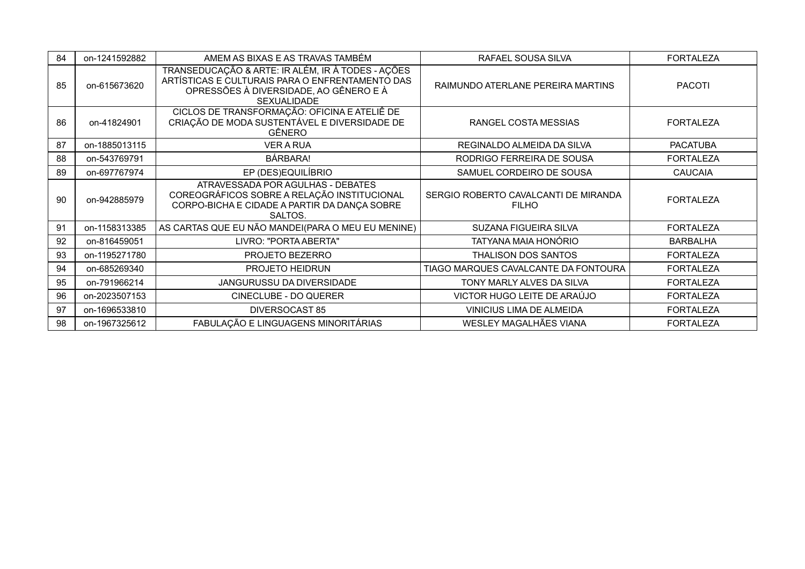| 84 | on-1241592882                                                                                                                                               | AMEM AS BIXAS E AS TRAVAS TAMBÉM<br>RAFAEL SOUSA SILVA                                                                                                               |                                                      | <b>FORTALEZA</b> |  |
|----|-------------------------------------------------------------------------------------------------------------------------------------------------------------|----------------------------------------------------------------------------------------------------------------------------------------------------------------------|------------------------------------------------------|------------------|--|
| 85 | on-615673620                                                                                                                                                | TRANSEDUCAÇÃO & ARTE: IR ALÉM, IR À TODES - AÇÕES<br>ARTÍSTICAS E CULTURAIS PARA O ENFRENTAMENTO DAS<br>OPRESSÕES À DIVERSIDADE, AO GÊNERO E À<br><b>SEXUALIDADE</b> | RAIMUNDO ATERLANE PEREIRA MARTINS                    |                  |  |
| 86 | CICLOS DE TRANSFORMAÇÃO: OFICINA E ATELIÊ DE<br>CRIAÇÃO DE MODA SUSTENTÁVEL E DIVERSIDADE DE<br>on-41824901<br>GÊNERO                                       |                                                                                                                                                                      | RANGEL COSTA MESSIAS<br><b>FORTALEZA</b>             |                  |  |
| 87 | on-1885013115                                                                                                                                               | <b>VER A RUA</b>                                                                                                                                                     | REGINALDO ALMEIDA DA SILVA                           | <b>PACATUBA</b>  |  |
| 88 | on-543769791                                                                                                                                                | BÁRBARA!                                                                                                                                                             | RODRIGO FERREIRA DE SOUSA                            | <b>FORTALEZA</b> |  |
| 89 | on-697767974                                                                                                                                                | EP (DES)EQUILÍBRIO<br>SAMUEL CORDEIRO DE SOUSA                                                                                                                       |                                                      | <b>CAUCAIA</b>   |  |
| 90 | ATRAVESSADA POR AGULHAS - DEBATES<br>COREOGRÁFICOS SOBRE A RELAÇÃO INSTITUCIONAL<br>on-942885979<br>CORPO-BICHA E CIDADE A PARTIR DA DANÇA SOBRE<br>SALTOS. |                                                                                                                                                                      | SERGIO ROBERTO CAVALCANTI DE MIRANDA<br><b>FILHO</b> | <b>FORTALEZA</b> |  |
| 91 | on-1158313385                                                                                                                                               | AS CARTAS QUE EU NÃO MANDEI(PARA O MEU EU MENINE)                                                                                                                    | SUZANA FIGUEIRA SILVA                                | <b>FORTALEZA</b> |  |
| 92 | on-816459051                                                                                                                                                | LIVRO: "PORTA ABERTA"                                                                                                                                                | <b>TATYANA MAIA HONÓRIO</b>                          | <b>BARBALHA</b>  |  |
| 93 | on-1195271780                                                                                                                                               | PROJETO BEZERRO                                                                                                                                                      | THALISON DOS SANTOS                                  | <b>FORTALEZA</b> |  |
| 94 | on-685269340                                                                                                                                                | PROJETO HEIDRUN                                                                                                                                                      | TIAGO MARQUES CAVALCANTE DA FONTOURA                 | <b>FORTALEZA</b> |  |
| 95 | on-791966214                                                                                                                                                | JANGURUSSU DA DIVERSIDADE                                                                                                                                            | TONY MARLY ALVES DA SILVA                            | <b>FORTALEZA</b> |  |
| 96 | on-2023507153                                                                                                                                               | CINECLUBE - DO QUERER                                                                                                                                                | VICTOR HUGO LEITE DE ARAÚJO                          | <b>FORTALEZA</b> |  |
| 97 | on-1696533810                                                                                                                                               | DIVERSOCAST 85                                                                                                                                                       | VINICIUS LIMA DE ALMEIDA                             | <b>FORTALEZA</b> |  |
| 98 | on-1967325612                                                                                                                                               | FABULAÇÃO E LINGUAGENS MINORITÁRIAS                                                                                                                                  | WESLEY MAGALHÃES VIANA<br><b>FORTALEZA</b>           |                  |  |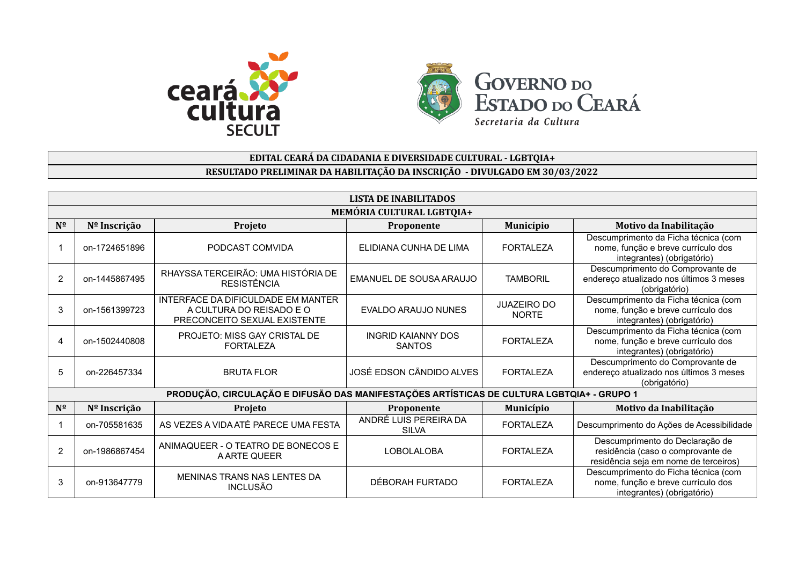



## **EDITAL CEARÁ DA CIDADANIA E DIVERSIDADE CULTURAL - LGBTQIA+ RESULTADO PRELIMINAR DA HABILITAÇÃO DA INSCRIÇÃO - DIVULGADO EM 30/03/2022**

|                | LISTA DE INABILITADOS |                                                                                                |                                            |                                    |                                                                                                               |  |
|----------------|-----------------------|------------------------------------------------------------------------------------------------|--------------------------------------------|------------------------------------|---------------------------------------------------------------------------------------------------------------|--|
|                |                       |                                                                                                | MEMÓRIA CULTURAL LGBTQIA+                  |                                    |                                                                                                               |  |
| $N^{\Omega}$   | Nº Inscrição          | Projeto                                                                                        | Proponente                                 | Município                          | Motivo da Inabilitação                                                                                        |  |
| 1              | on-1724651896         | PODCAST COMVIDA                                                                                | ELIDIANA CUNHA DE LIMA                     | <b>FORTALEZA</b>                   | Descumprimento da Ficha técnica (com<br>nome, função e breve currículo dos<br>integrantes) (obrigatório)      |  |
| $\overline{2}$ | on-1445867495         | RHAYSSA TERCEIRÃO: UMA HISTÓRIA DE<br>RESISTÊNCIA                                              | EMANUEL DE SOUSA ARAUJO                    | <b>TAMBORIL</b>                    | Descumprimento do Comprovante de<br>endereço atualizado nos últimos 3 meses<br>(obrigatório)                  |  |
| 3              | on-1561399723         | INTERFACE DA DIFICULDADE EM MANTER<br>A CULTURA DO REISADO E O<br>PRECONCEITO SEXUAL EXISTENTE | EVALDO ARAUJO NUNES                        | <b>JUAZEIRO DO</b><br><b>NORTE</b> | Descumprimento da Ficha técnica (com<br>nome, função e breve currículo dos<br>integrantes) (obrigatório)      |  |
| 4              | on-1502440808         | PROJETO: MISS GAY CRISTAL DE<br><b>FORTALEZA</b>                                               | <b>INGRID KAIANNY DOS</b><br><b>SANTOS</b> | <b>FORTALEZA</b>                   | Descumprimento da Ficha técnica (com<br>nome, função e breve currículo dos<br>integrantes) (obrigatório)      |  |
| 5              | on-226457334          | <b>BRUTA FLOR</b>                                                                              | JOSÉ EDSON CÃNDIDO ALVES                   | <b>FORTALEZA</b>                   | Descumprimento do Comprovante de<br>endereço atualizado nos últimos 3 meses<br>(obrigatório)                  |  |
|                |                       | PRODUÇÃO, CIRCULAÇÃO E DIFUSÃO DAS MANIFESTAÇÕES ARTÍSTICAS DE CULTURA LGBTQIA+ - GRUPO 1      |                                            |                                    |                                                                                                               |  |
| $N^{\Omega}$   | Nº Inscrição          | Projeto                                                                                        | Proponente                                 | <b>Município</b>                   | Motivo da Inabilitação                                                                                        |  |
|                | on-705581635          | AS VEZES A VIDA ATÉ PARECE UMA FESTA                                                           | ANDRÉ LUIS PEREIRA DA<br><b>SILVA</b>      | <b>FORTALEZA</b>                   | Descumprimento do Ações de Acessibilidade                                                                     |  |
| 2              | on-1986867454         | ANIMAQUEER - O TEATRO DE BONECOS E<br><b>AARTE QUEER</b>                                       | LOBOLALOBA                                 | <b>FORTALEZA</b>                   | Descumprimento do Declaração de<br>residência (caso o comprovante de<br>residência seja em nome de terceiros) |  |
| 3              | on-913647779          | MENINAS TRANS NAS LENTES DA<br><b>INCLUSÃO</b>                                                 | DÉBORAH FURTADO                            | <b>FORTALEZA</b>                   | Descumprimento do Ficha técnica (com<br>nome, função e breve currículo dos<br>integrantes) (obrigatório)      |  |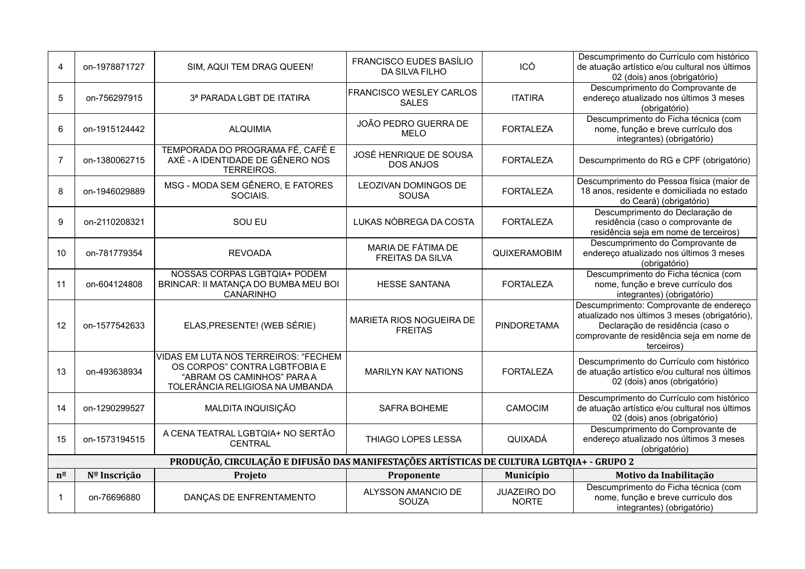| $\overline{4}$                                                                            | on-1978871727 | SIM, AQUI TEM DRAG QUEEN!                                                                                                              | <b>FRANCISCO EUDES BASÍLIO</b><br>DA SILVA FILHO  | ICÓ                                | Descumprimento do Currículo com histórico<br>de atuação artístico e/ou cultural nos últimos<br>02 (dois) anos (obrigatório)                                                             |  |  |  |  |
|-------------------------------------------------------------------------------------------|---------------|----------------------------------------------------------------------------------------------------------------------------------------|---------------------------------------------------|------------------------------------|-----------------------------------------------------------------------------------------------------------------------------------------------------------------------------------------|--|--|--|--|
| 5                                                                                         | on-756297915  | 3ª PARADA LGBT DE ITATIRA                                                                                                              | <b>FRANCISCO WESLEY CARLOS</b><br><b>SALES</b>    | <b>ITATIRA</b>                     | Descumprimento do Comprovante de<br>endereço atualizado nos últimos 3 meses<br>(obrigatório)                                                                                            |  |  |  |  |
| 6                                                                                         | on-1915124442 | <b>ALQUIMIA</b>                                                                                                                        | JOÃO PEDRO GUERRA DE<br><b>MELO</b>               | <b>FORTALEZA</b>                   | Descumprimento do Ficha técnica (com<br>nome, função e breve currículo dos<br>integrantes) (obrigatório)                                                                                |  |  |  |  |
| $\overline{7}$                                                                            | on-1380062715 | TEMPORADA DO PROGRAMA FÉ, CAFÉ E<br>AXÉ - A IDENTIDADE DE GÊNERO NOS<br>TERREIROS.                                                     | JOSÉ HENRIQUE DE SOUSA<br><b>DOS ANJOS</b>        | <b>FORTALEZA</b>                   | Descumprimento do RG e CPF (obrigatório)                                                                                                                                                |  |  |  |  |
| 8                                                                                         | on-1946029889 | MSG - MODA SEM GÊNERO, E FATORES<br>SOCIAIS.                                                                                           | LEOZIVAN DOMINGOS DE<br><b>SOUSA</b>              | <b>FORTALEZA</b>                   | Descumprimento do Pessoa física (maior de<br>18 anos, residente e domiciliada no estado<br>do Ceará) (obrigatório)                                                                      |  |  |  |  |
| 9                                                                                         | on-2110208321 | SOU EU                                                                                                                                 | LUKAS NÓBREGA DA COSTA                            | <b>FORTALEZA</b>                   | Descumprimento do Declaração de<br>residência (caso o comprovante de<br>residência seja em nome de terceiros)                                                                           |  |  |  |  |
| 10                                                                                        | on-781779354  | <b>REVOADA</b>                                                                                                                         | MARIA DE FÁTIMA DE<br><b>FREITAS DA SILVA</b>     | QUIXERAMOBIM                       | Descumprimento do Comprovante de<br>endereço atualizado nos últimos 3 meses<br>(obrigatório)                                                                                            |  |  |  |  |
| 11                                                                                        | on-604124808  | NOSSAS CORPAS LGBTQIA+ PODEM<br>BRINCAR: II MATANÇA DO BUMBA MEU BOI<br><b>CANARINHO</b>                                               | <b>HESSE SANTANA</b>                              | <b>FORTALEZA</b>                   | Descumprimento do Ficha técnica (com<br>nome, função e breve currículo dos<br>integrantes) (obrigatório)                                                                                |  |  |  |  |
| 12                                                                                        | on-1577542633 | ELAS, PRESENTE! (WEB SÉRIE)                                                                                                            | <b>MARIETA RIOS NOGUEIRA DE</b><br><b>FREITAS</b> | <b>PINDORETAMA</b>                 | Descumprimento: Comprovante de endereço<br>atualizado nos últimos 3 meses (obrigatório),<br>Declaração de residência (caso o<br>comprovante de residência seja em nome de<br>terceiros) |  |  |  |  |
| 13                                                                                        | on-493638934  | VIDAS EM LUTA NOS TERREIROS: "FECHEM<br>OS CORPOS" CONTRA LGBTFOBIA E<br>"ABRAM OS CAMINHOS" PARA A<br>TOLERÂNCIA RELIGIOSA NA UMBANDA | <b>MARILYN KAY NATIONS</b>                        | <b>FORTALEZA</b>                   | Descumprimento do Currículo com histórico<br>de atuação artístico e/ou cultural nos últimos<br>02 (dois) anos (obrigatório)                                                             |  |  |  |  |
| 14                                                                                        | on-1290299527 | MALDITA INQUISIÇÃO                                                                                                                     | SAFRA BOHEME                                      | CAMOCIM                            | Descumprimento do Currículo com histórico<br>de atuação artístico e/ou cultural nos últimos<br>02 (dois) anos (obrigatório)                                                             |  |  |  |  |
| 15                                                                                        | on-1573194515 | A CENA TEATRAL LGBTQIA+ NO SERTÃO<br><b>CENTRAL</b>                                                                                    | THIAGO LOPES LESSA                                | QUIXADÁ                            | Descumprimento do Comprovante de<br>endereço atualizado nos últimos 3 meses<br>(obrigatório)                                                                                            |  |  |  |  |
| PRODUÇÃO, CIRCULAÇÃO E DIFUSÃO DAS MANIFESTAÇÕES ARTÍSTICAS DE CULTURA LGBTQIA+ - GRUPO 2 |               |                                                                                                                                        |                                                   |                                    |                                                                                                                                                                                         |  |  |  |  |
| $n^{\underline{o}}$                                                                       | Nº Inscrição  | Projeto                                                                                                                                | Proponente                                        | Município                          | Motivo da Inabilitação                                                                                                                                                                  |  |  |  |  |
| $\mathbf 1$                                                                               | on-76696880   | DANÇAS DE ENFRENTAMENTO                                                                                                                | ALYSSON AMANCIO DE<br>SOUZA                       | <b>JUAZEIRO DO</b><br><b>NORTE</b> | Descumprimento do Ficha técnica (com<br>nome, função e breve currículo dos<br>integrantes) (obrigatório)                                                                                |  |  |  |  |